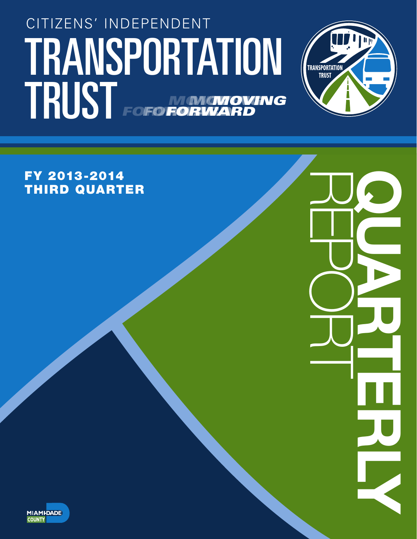# TRANSPORTATION (TRANSPORTATION CITIZENS' INDEPENDENT TRUST FOFO NONGNOVING *FORWARD MOVING* **FORWA** *MOVING* **FOFORD**



REPORT QUARTERLY

FY 2013-2014 THIRD QUARTER

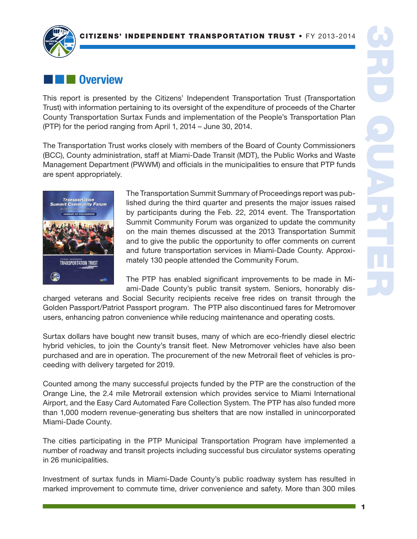

# $\blacksquare$  Overview

This report is presented by the Citizens' Independent Transportation Trust (Transportation Trust) with information pertaining to its oversight of the expenditure of proceeds of the Charter County Transportation Surtax Funds and implementation of the People's Transportation Plan (PTP) for the period ranging from April 1, 2014 – June 30, 2014.

The Transportation Trust works closely with members of the Board of County Commissioners (BCC), County administration, staff at Miami-Dade Transit (MDT), the Public Works and Waste Management Department (PWWM) and officials in the municipalities to ensure that PTP funds are spent appropriately.



The Transportation Summit Summary of Proceedings report was published during the third quarter and presents the major issues raised by participants during the Feb. 22, 2014 event. The Transportation Summit Community Forum was organized to update the community on the main themes discussed at the 2013 Transportation Summit and to give the public the opportunity to offer comments on current and future transportation services in Miami-Dade County. Approximately 130 people attended the Community Forum.

The PTP has enabled significant improvements to be made in Miami-Dade County's public transit system. Seniors, honorably dis-

charged veterans and Social Security recipients receive free rides on transit through the Golden Passport/Patriot Passport program. The PTP also discontinued fares for Metromover users, enhancing patron convenience while reducing maintenance and operating costs.

Surtax dollars have bought new transit buses, many of which are eco-friendly diesel electric hybrid vehicles, to join the County's transit fleet. New Metromover vehicles have also been purchased and are in operation. The procurement of the new Metrorail fleet of vehicles is proceeding with delivery targeted for 2019.

Counted among the many successful projects funded by the PTP are the construction of the Orange Line, the 2.4 mile Metrorail extension which provides service to Miami International Airport, and the Easy Card Automated Fare Collection System. The PTP has also funded more than 1,000 modern revenue-generating bus shelters that are now installed in unincorporated Miami-Dade County.

The cities participating in the PTP Municipal Transportation Program have implemented a number of roadway and transit projects including successful bus circulator systems operating in 26 municipalities.

Investment of surtax funds in Miami-Dade County's public roadway system has resulted in marked improvement to commute time, driver convenience and safety. More than 300 miles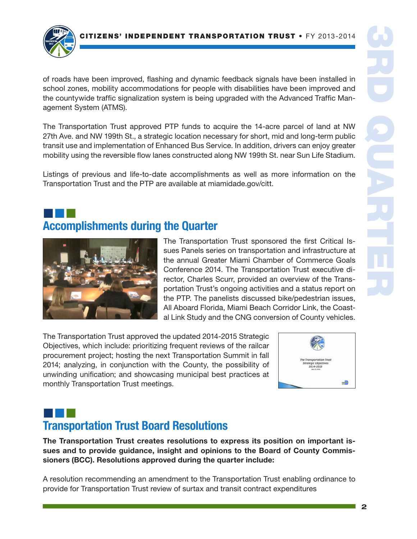

of roads have been improved, flashing and dynamic feedback signals have been installed in school zones, mobility accommodations for people with disabilities have been improved and the countywide traffic signalization system is being upgraded with the Advanced Traffic Management System (ATMS).

The Transportation Trust approved PTP funds to acquire the 14-acre parcel of land at NW 27th Ave. and NW 199th St., a strategic location necessary for short, mid and long-term public transit use and implementation of Enhanced Bus Service. In addition, drivers can enjoy greater mobility using the reversible flow lanes constructed along NW 199th St. near Sun Life Stadium.

Listings of previous and life-to-date accomplishments as well as more information on the Transportation Trust and the PTP are available at miamidade.gov/citt.

# ¢¢¢ Accomplishments during the Quarter



The Transportation Trust sponsored the first Critical Issues Panels series on transportation and infrastructure at the annual Greater Miami Chamber of Commerce Goals Conference 2014. The Transportation Trust executive director, Charles Scurr, provided an overview of the Transportation Trust's ongoing activities and a status report on the PTP. The panelists discussed bike/pedestrian issues, All Aboard Florida, Miami Beach Corridor Link, the Coastal Link Study and the CNG conversion of County vehicles.

The Transportation Trust approved the updated 2014-2015 Strategic Objectives, which include: prioritizing frequent reviews of the railcar procurement project; hosting the next Transportation Summit in fall 2014; analyzing, in conjunction with the County, the possibility of unwinding unification; and showcasing municipal best practices at monthly Transportation Trust meetings.



# ¢¢¢ Transportation Trust Board Resolutions

The Transportation Trust creates resolutions to express its position on important issues and to provide guidance, insight and opinions to the Board of County Commissioners (BCC). Resolutions approved during the quarter include:

A resolution recommending an amendment to the Transportation Trust enabling ordinance to provide for Transportation Trust review of surtax and transit contract expenditures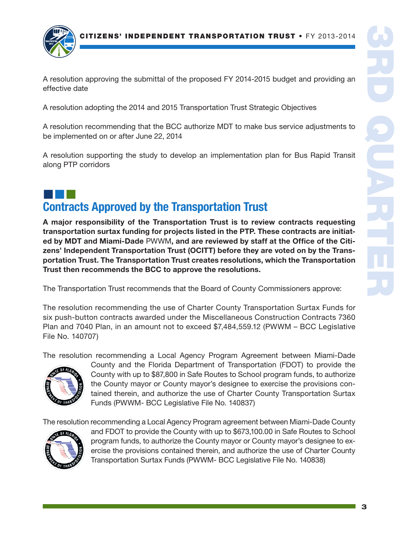

A resolution approving the submittal of the proposed FY 2014-2015 budget and providing an effective date

A resolution adopting the 2014 and 2015 Transportation Trust Strategic Objectives

A resolution recommending that the BCC authorize MDT to make bus service adjustments to be implemented on or after June 22, 2014

A resolution supporting the study to develop an implementation plan for Bus Rapid Transit along PTP corridors

# ¢¢¢ Contracts Approved by the Transportation Trust

A major responsibility of the Transportation Trust is to review contracts requesting transportation surtax funding for projects listed in the PTP. These contracts are initiated by MDT and Miami-Dade PWWM, and are reviewed by staff at the Office of the Citizens' Independent Transportation Trust (OCITT) before they are voted on by the Transportation Trust. The Transportation Trust creates resolutions, which the Transportation Trust then recommends the BCC to approve the resolutions.

The Transportation Trust recommends that the Board of County Commissioners approve:

The resolution recommending the use of Charter County Transportation Surtax Funds for six push-button contracts awarded under the Miscellaneous Construction Contracts 7360 Plan and 7040 Plan, in an amount not to exceed \$7,484,559.12 (PWWM – BCC Legislative File No. 140707)

The resolution recommending a Local Agency Program Agreement between Miami-Dade



County and the Florida Department of Transportation (FDOT) to provide the County with up to \$87,800 in Safe Routes to School program funds, to authorize the County mayor or County mayor's designee to exercise the provisions contained therein, and authorize the use of Charter County Transportation Surtax Funds (PWWM- BCC Legislative File No. 140837)

The resolution recommending a Local Agency Program agreement between Miami-Dade County



and FDOT to provide the County with up to \$673,100.00 in Safe Routes to School program funds, to authorize the County mayor or County mayor's designee to exercise the provisions contained therein, and authorize the use of Charter County Transportation Surtax Funds (PWWM- BCC Legislative File No. 140838)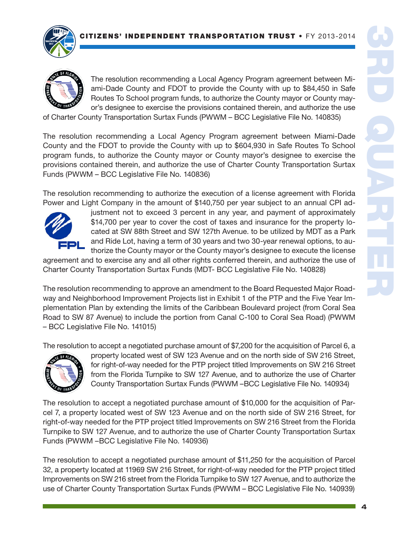

The resolution recommending a Local Agency Program agreement between Miami-Dade County and FDOT to provide the County with up to \$84,450 in Safe Routes To School program funds, to authorize the County mayor or County mayor's designee to exercise the provisions contained therein, and authorize the use

of Charter County Transportation Surtax Funds (PWWM – BCC Legislative File No. 140835)

The resolution recommending a Local Agency Program agreement between Miami-Dade County and the FDOT to provide the County with up to \$604,930 in Safe Routes To School program funds, to authorize the County mayor or County mayor's designee to exercise the provisions contained therein, and authorize the use of Charter County Transportation Surtax Funds (PWWM – BCC Legislative File No. 140836)

The resolution recommending to authorize the execution of a license agreement with Florida Power and Light Company in the amount of \$140,750 per year subject to an annual CPI ad-



justment not to exceed 3 percent in any year, and payment of approximately \$14,700 per year to cover the cost of taxes and insurance for the property located at SW 88th Street and SW 127th Avenue. to be utilized by MDT as a Park and Ride Lot, having a term of 30 years and two 30-year renewal options, to authorize the County mayor or the County mayor's designee to execute the license

agreement and to exercise any and all other rights conferred therein, and authorize the use of Charter County Transportation Surtax Funds (MDT- BCC Legislative File No. 140828)

The resolution recommending to approve an amendment to the Board Requested Major Roadway and Neighborhood Improvement Projects list in Exhibit 1 of the PTP and the Five Year Implementation Plan by extending the limits of the Caribbean Boulevard project (from Coral Sea Road to SW 87 Avenue) to include the portion from Canal C-100 to Coral Sea Road) (PWWM – BCC Legislative File No. 141015)

The resolution to accept a negotiated purchase amount of \$7,200 for the acquisition of Parcel 6, a



property located west of SW 123 Avenue and on the north side of SW 216 Street, for right-of-way needed for the PTP project titled Improvements on SW 216 Street from the Florida Turnpike to SW 127 Avenue, and to authorize the use of Charter County Transportation Surtax Funds (PWWM –BCC Legislative File No. 140934)

The resolution to accept a negotiated purchase amount of \$10,000 for the acquisition of Parcel 7, a property located west of SW 123 Avenue and on the north side of SW 216 Street, for right-of-way needed for the PTP project titled Improvements on SW 216 Street from the Florida Turnpike to SW 127 Avenue, and to authorize the use of Charter County Transportation Surtax Funds (PWWM –BCC Legislative File No. 140936)

The resolution to accept a negotiated purchase amount of \$11,250 for the acquisition of Parcel 32, a property located at 11969 SW 216 Street, for right-of-way needed for the PTP project titled Improvements on SW 216 street from the Florida Turnpike to SW 127 Avenue, and to authorize the use of Charter County Transportation Surtax Funds (PWWM – BCC Legislative File No. 140939)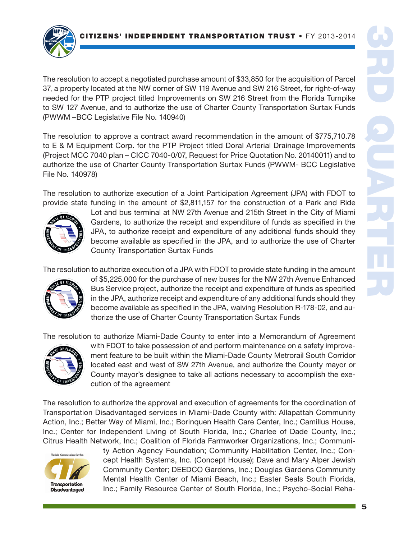

The resolution to accept a negotiated purchase amount of \$33,850 for the acquisition of Parcel 37, a property located at the NW corner of SW 119 Avenue and SW 216 Street, for right-of-way needed for the PTP project titled Improvements on SW 216 Street from the Florida Turnpike to SW 127 Avenue, and to authorize the use of Charter County Transportation Surtax Funds (PWWM –BCC Legislative File No. 140940)

The resolution to approve a contract award recommendation in the amount of \$775,710.78 to E & M Equipment Corp. for the PTP Project titled Doral Arterial Drainage Improvements (Project MCC 7040 plan – CICC 7040-0/07, Request for Price Quotation No. 20140011) and to authorize the use of Charter County Transportation Surtax Funds (PWWM- BCC Legislative File No. 140978)

The resolution to authorize execution of a Joint Participation Agreement (JPA) with FDOT to provide state funding in the amount of \$2,811,157 for the construction of a Park and Ride



Lot and bus terminal at NW 27th Avenue and 215th Street in the City of Miami Gardens, to authorize the receipt and expenditure of funds as specified in the JPA, to authorize receipt and expenditure of any additional funds should they become available as specified in the JPA, and to authorize the use of Charter County Transportation Surtax Funds

The resolution to authorize execution of a JPA with FDOT to provide state funding in the amount



of \$5,225,000 for the purchase of new buses for the NW 27th Avenue Enhanced Bus Service project, authorize the receipt and expenditure of funds as specified in the JPA, authorize receipt and expenditure of any additional funds should they become available as specified in the JPA, waiving Resolution R-178-02, and authorize the use of Charter County Transportation Surtax Funds

The resolution to authorize Miami-Dade County to enter into a Memorandum of Agreement



with FDOT to take possession of and perform maintenance on a safety improvement feature to be built within the Miami-Dade County Metrorail South Corridor located east and west of SW 27th Avenue, and authorize the County mayor or County mayor's designee to take all actions necessary to accomplish the execution of the agreement

The resolution to authorize the approval and execution of agreements for the coordination of Transportation Disadvantaged services in Miami-Dade County with: Allapattah Community Action, Inc.; Better Way of Miami, Inc.; Borinquen Health Care Center, Inc.; Camillus House, Inc.; Center for Independent Living of South Florida, Inc.; Charlee of Dade County, Inc.; Citrus Health Network, Inc.; Coalition of Florida Farmworker Organizations, Inc.; Communi-



ty Action Agency Foundation; Community Habilitation Center, Inc.; Concept Health Systems, Inc. (Concept House); Dave and Mary Alper Jewish Community Center; DEEDCO Gardens, Inc.; Douglas Gardens Community Mental Health Center of Miami Beach, Inc.; Easter Seals South Florida, Inc.; Family Resource Center of South Florida, Inc.; Psycho-Social Reha-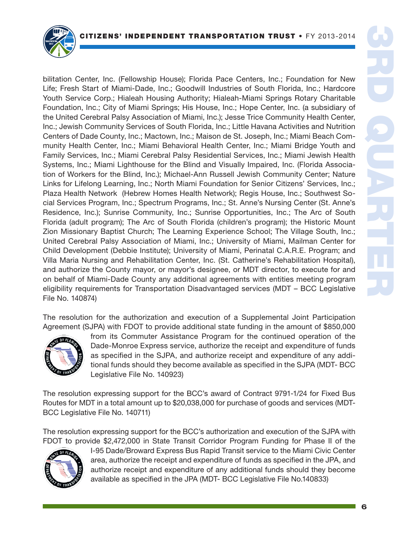

bilitation Center, Inc. (Fellowship House); Florida Pace Centers, Inc.; Foundation for New Life; Fresh Start of Miami-Dade, Inc.; Goodwill Industries of South Florida, Inc.; Hardcore Youth Service Corp.; Hialeah Housing Authority; Hialeah-Miami Springs Rotary Charitable Foundation, Inc.; City of Miami Springs; His House, Inc.; Hope Center, Inc. (a subsidiary of the United Cerebral Palsy Association of Miami, Inc.); Jesse Trice Community Health Center, Inc.; Jewish Community Services of South Florida, Inc.; Little Havana Activities and Nutrition Centers of Dade County, Inc.; Mactown, Inc.; Maison de St. Joseph, Inc.; Miami Beach Community Health Center, Inc.; Miami Behavioral Health Center, Inc.; Miami Bridge Youth and Family Services, Inc.; Miami Cerebral Palsy Residential Services, Inc.; Miami Jewish Health Systems, Inc.; Miami Lighthouse for the Blind and Visually Impaired, Inc. (Florida Association of Workers for the Blind, Inc.); Michael-Ann Russell Jewish Community Center; Nature Links for Lifelong Learning, Inc.; North Miami Foundation for Senior Citizens' Services, Inc.; Plaza Health Network (Hebrew Homes Health Network); Regis House, Inc.; Southwest Social Services Program, Inc.; Spectrum Programs, Inc.; St. Anne's Nursing Center (St. Anne's Residence, Inc.); Sunrise Community, Inc.; Sunrise Opportunities, Inc.; The Arc of South Florida (adult program); The Arc of South Florida (children's program); the Historic Mount Zion Missionary Baptist Church; The Learning Experience School; The Village South, Inc.; United Cerebral Palsy Association of Miami, Inc.; University of Miami, Mailman Center for Child Development (Debbie Institute); University of Miami, Perinatal C.A.R.E. Program; and Villa Maria Nursing and Rehabilitation Center, Inc. (St. Catherine's Rehabilitation Hospital), and authorize the County mayor, or mayor's designee, or MDT director, to execute for and on behalf of Miami-Dade County any additional agreements with entities meeting program eligibility requirements for Transportation Disadvantaged services (MDT – BCC Legislative File No. 140874)

The resolution for the authorization and execution of a Supplemental Joint Participation Agreement (SJPA) with FDOT to provide additional state funding in the amount of \$850,000



from its Commuter Assistance Program for the continued operation of the Dade-Monroe Express service, authorize the receipt and expenditure of funds as specified in the SJPA, and authorize receipt and expenditure of any additional funds should they become available as specified in the SJPA (MDT- BCC Legislative File No. 140923)

The resolution expressing support for the BCC's award of Contract 9791-1/24 for Fixed Bus Routes for MDT in a total amount up to \$20,038,000 for purchase of goods and services (MDT-BCC Legislative File No. 140711)

The resolution expressing support for the BCC's authorization and execution of the SJPA with FDOT to provide \$2,472,000 in State Transit Corridor Program Funding for Phase II of the



I-95 Dade/Broward Express Bus Rapid Transit service to the Miami Civic Center area, authorize the receipt and expenditure of funds as specified in the JPA, and authorize receipt and expenditure of any additional funds should they become available as specified in the JPA (MDT- BCC Legislative File No.140833)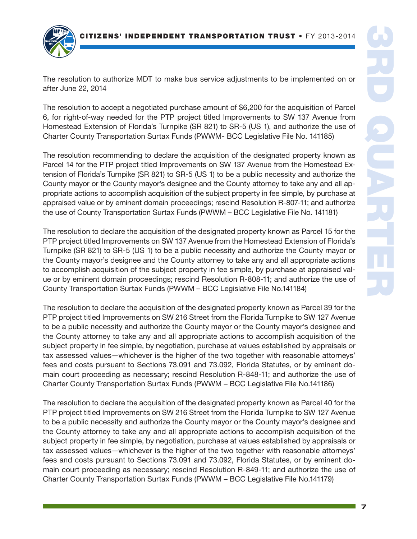

The resolution to authorize MDT to make bus service adjustments to be implemented on or after June 22, 2014

The resolution to accept a negotiated purchase amount of \$6,200 for the acquisition of Parcel 6, for right-of-way needed for the PTP project titled Improvements to SW 137 Avenue from Homestead Extension of Florida's Turnpike (SR 821) to SR-5 (US 1), and authorize the use of Charter County Transportation Surtax Funds (PWWM- BCC Legislative File No. 141185)

The resolution recommending to declare the acquisition of the designated property known as Parcel 14 for the PTP project titled Improvements on SW 137 Avenue from the Homestead Extension of Florida's Turnpike (SR 821) to SR-5 (US 1) to be a public necessity and authorize the County mayor or the County mayor's designee and the County attorney to take any and all appropriate actions to accomplish acquisition of the subject property in fee simple, by purchase at appraised value or by eminent domain proceedings; rescind Resolution R-807-11; and authorize the use of County Transportation Surtax Funds (PWWM – BCC Legislative File No. 141181)

The resolution to declare the acquisition of the designated property known as Parcel 15 for the PTP project titled Improvements on SW 137 Avenue from the Homestead Extension of Florida's Turnpike (SR 821) to SR-5 (US 1) to be a public necessity and authorize the County mayor or the County mayor's designee and the County attorney to take any and all appropriate actions to accomplish acquisition of the subject property in fee simple, by purchase at appraised value or by eminent domain proceedings; rescind Resolution R-808-11; and authorize the use of County Transportation Surtax Funds (PWWM – BCC Legislative File No.141184)

The resolution to declare the acquisition of the designated property known as Parcel 39 for the PTP project titled Improvements on SW 216 Street from the Florida Turnpike to SW 127 Avenue to be a public necessity and authorize the County mayor or the County mayor's designee and the County attorney to take any and all appropriate actions to accomplish acquisition of the subject property in fee simple, by negotiation, purchase at values established by appraisals or tax assessed values—whichever is the higher of the two together with reasonable attorneys' fees and costs pursuant to Sections 73.091 and 73.092, Florida Statutes, or by eminent domain court proceeding as necessary; rescind Resolution R-848-11; and authorize the use of Charter County Transportation Surtax Funds (PWWM – BCC Legislative File No.141186)

The resolution to declare the acquisition of the designated property known as Parcel 40 for the PTP project titled Improvements on SW 216 Street from the Florida Turnpike to SW 127 Avenue to be a public necessity and authorize the County mayor or the County mayor's designee and the County attorney to take any and all appropriate actions to accomplish acquisition of the subject property in fee simple, by negotiation, purchase at values established by appraisals or tax assessed values—whichever is the higher of the two together with reasonable attorneys' fees and costs pursuant to Sections 73.091 and 73.092, Florida Statutes, or by eminent domain court proceeding as necessary; rescind Resolution R-849-11; and authorize the use of Charter County Transportation Surtax Funds (PWWM – BCC Legislative File No.141179)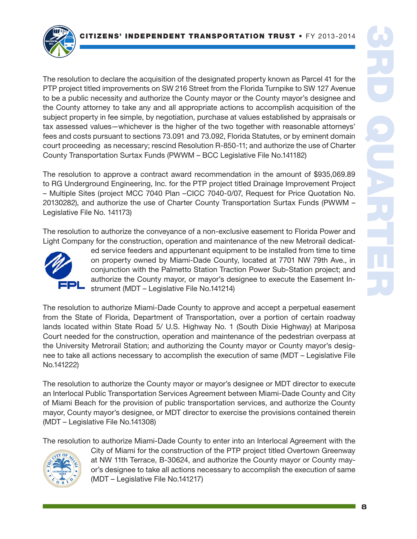

The resolution to declare the acquisition of the designated property known as Parcel 41 for the PTP project titled improvements on SW 216 Street from the Florida Turnpike to SW 127 Avenue to be a public necessity and authorize the County mayor or the County mayor's designee and the County attorney to take any and all appropriate actions to accomplish acquisition of the subject property in fee simple, by negotiation, purchase at values established by appraisals or tax assessed values—whichever is the higher of the two together with reasonable attorneys' fees and costs pursuant to sections 73.091 and 73.092, Florida Statutes, or by eminent domain court proceeding as necessary; rescind Resolution R-850-11; and authorize the use of Charter County Transportation Surtax Funds (PWWM – BCC Legislative File No.141182)

The resolution to approve a contract award recommendation in the amount of \$935,069.89 to RG Underground Engineering, Inc. for the PTP project titled Drainage Improvement Project – Multiple Sites (project MCC 7040 Plan –CICC 7040-0/07, Request for Price Quotation No. 20130282), and authorize the use of Charter County Transportation Surtax Funds (PWWM – Legislative File No. 141173)

The resolution to authorize the conveyance of a non-exclusive easement to Florida Power and Light Company for the construction, operation and maintenance of the new Metrorail dedicat-



ed service feeders and appurtenant equipment to be installed from time to time on property owned by Miami-Dade County, located at 7701 NW 79th Ave., in conjunction with the Palmetto Station Traction Power Sub-Station project; and authorize the County mayor, or mayor's designee to execute the Easement Instrument (MDT – Legislative File No.141214)

The resolution to authorize Miami-Dade County to approve and accept a perpetual easement from the State of Florida, Department of Transportation, over a portion of certain roadway lands located within State Road 5/ U.S. Highway No. 1 (South Dixie Highway) at Mariposa Court needed for the construction, operation and maintenance of the pedestrian overpass at the University Metrorail Station; and authorizing the County mayor or County mayor's designee to take all actions necessary to accomplish the execution of same (MDT – Legislative File No.141222)

The resolution to authorize the County mayor or mayor's designee or MDT director to execute an Interlocal Public Transportation Services Agreement between Miami-Dade County and City of Miami Beach for the provision of public transportation services, and authorize the County mayor, County mayor's designee, or MDT director to exercise the provisions contained therein (MDT – Legislative File No.141308)

The resolution to authorize Miami-Dade County to enter into an Interlocal Agreement with the



City of Miami for the construction of the PTP project titled Overtown Greenway at NW 11th Terrace, B-30624, and authorize the County mayor or County mayor's designee to take all actions necessary to accomplish the execution of same (MDT – Legislative File No.141217)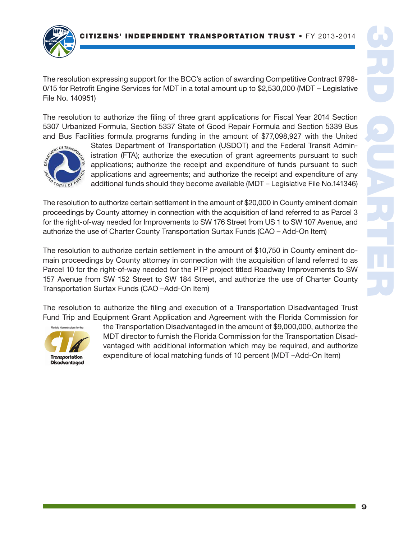S' INDEPENDENT TRANSPORTATION TRUST • FY 2013-2014



The resolution expressing support for the BCC's action of awarding Competitive Contract 9798- 0/15 for Retrofit Engine Services for MDT in a total amount up to \$2,530,000 (MDT – Legislative File No. 140951)

The resolution to authorize the filing of three grant applications for Fiscal Year 2014 Section 5307 Urbanized Formula, Section 5337 State of Good Repair Formula and Section 5339 Bus and Bus Facilities formula programs funding in the amount of \$77,098,927 with the United



States Department of Transportation (USDOT) and the Federal Transit Administration (FTA); authorize the execution of grant agreements pursuant to such applications; authorize the receipt and expenditure of funds pursuant to such applications and agreements; and authorize the receipt and expenditure of any additional funds should they become available (MDT – Legislative File No.141346)

The resolution to authorize certain settlement in the amount of \$20,000 in County eminent domain proceedings by County attorney in connection with the acquisition of land referred to as Parcel 3 for the right-of-way needed for Improvements to SW 176 Street from US 1 to SW 107 Avenue, and authorize the use of Charter County Transportation Surtax Funds (CAO – Add-On Item)

The resolution to authorize certain settlement in the amount of \$10,750 in County eminent domain proceedings by County attorney in connection with the acquisition of land referred to as Parcel 10 for the right-of-way needed for the PTP project titled Roadway Improvements to SW 157 Avenue from SW 152 Street to SW 184 Street, and authorize the use of Charter County Transportation Surtax Funds (CAO –Add-On Item)

The resolution to authorize the filing and execution of a Transportation Disadvantaged Trust Fund Trip and Equipment Grant Application and Agreement with the Florida Commission for



the Transportation Disadvantaged in the amount of \$9,000,000, authorize the MDT director to furnish the Florida Commission for the Transportation Disadvantaged with additional information which may be required, and authorize expenditure of local matching funds of 10 percent (MDT –Add-On Item)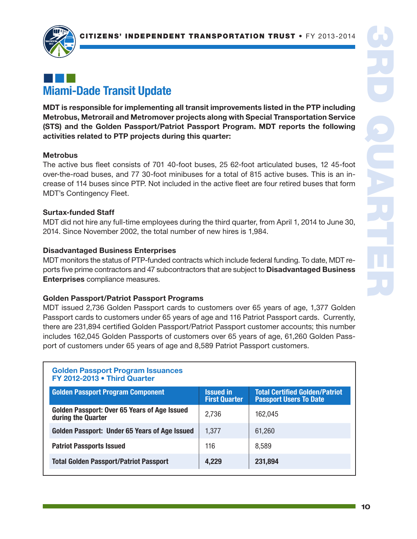

# ¢¢¢ Miami-Dade Transit Update

MDT is responsible for implementing all transit improvements listed in the PTP including Metrobus, Metrorail and Metromover projects along with Special Transportation Service (STS) and the Golden Passport/Patriot Passport Program. MDT reports the following activities related to PTP projects during this quarter:

### **Metrobus**

The active bus fleet consists of 701 40-foot buses, 25 62-foot articulated buses, 12 45-foot over-the-road buses, and 77 30-foot minibuses for a total of 815 active buses. This is an increase of 114 buses since PTP. Not included in the active fleet are four retired buses that form MDT's Contingency Fleet.

### Surtax-funded Staff

MDT did not hire any full-time employees during the third quarter, from April 1, 2014 to June 30, 2014. Since November 2002, the total number of new hires is 1,984.

### Disadvantaged Business Enterprises

MDT monitors the status of PTP-funded contracts which include federal funding. To date, MDT reports five prime contractors and 47 subcontractors that are subject to **Disadvantaged Business** Enterprises compliance measures.

## Golden Passport/Patriot Passport Programs

MDT issued 2,736 Golden Passport cards to customers over 65 years of age, 1,377 Golden Passport cards to customers under 65 years of age and 116 Patriot Passport cards. Currently, there are 231,894 certified Golden Passport/Patriot Passport customer accounts; this number includes 162,045 Golden Passports of customers over 65 years of age, 61,260 Golden Passport of customers under 65 years of age and 8,589 Patriot Passport customers.

#### Golden Passport Program Issuances FY 2012-2013 • Third Quarter

| <b>Golden Passport Program Component</b>                           | <b>Issued in</b><br><b>First Quarter</b> | <b>Total Certified Golden/Patriot</b><br><b>Passport Users To Date</b> |
|--------------------------------------------------------------------|------------------------------------------|------------------------------------------------------------------------|
| Golden Passport: Over 65 Years of Age Issued<br>during the Quarter | 2,736                                    | 162,045                                                                |
| Golden Passport: Under 65 Years of Age Issued                      | 1,377                                    | 61,260                                                                 |
| <b>Patriot Passports Issued</b>                                    | 116                                      | 8,589                                                                  |
| <b>Total Golden Passport/Patriot Passport</b>                      | 4,229                                    | 231,894                                                                |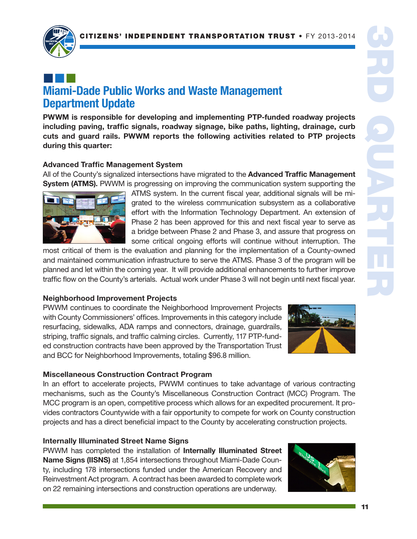

# ¢¢¢ Miami-Dade Public Works and Waste Management Department Update

PWWM is responsible for developing and implementing PTP-funded roadway projects including paving, traffic signals, roadway signage, bike paths, lighting, drainage, curb cuts and guard rails. PWWM reports the following activities related to PTP projects during this quarter:

### Advanced Traffic Management System

All of the County's signalized intersections have migrated to the **Advanced Traffic Management System (ATMS).** PWWM is progressing on improving the communication system supporting the



ATMS system. In the current fiscal year, additional signals will be migrated to the wireless communication subsystem as a collaborative effort with the Information Technology Department. An extension of Phase 2 has been approved for this and next fiscal year to serve as a bridge between Phase 2 and Phase 3, and assure that progress on some critical ongoing efforts will continue without interruption. The

most critical of them is the evaluation and planning for the implementation of a County-owned and maintained communication infrastructure to serve the ATMS. Phase 3 of the program will be planned and let within the coming year. It will provide additional enhancements to further improve traffic flow on the County's arterials. Actual work under Phase 3 will not begin until next fiscal year.

#### Neighborhood Improvement Projects

PWWM continues to coordinate the Neighborhood Improvement Projects with County Commissioners' offices. Improvements in this category include resurfacing, sidewalks, ADA ramps and connectors, drainage, guardrails, striping, traffic signals, and traffic calming circles. Currently, 117 PTP-funded construction contracts have been approved by the Transportation Trust and BCC for Neighborhood Improvements, totaling \$96.8 million.



## Miscellaneous Construction Contract Program

In an effort to accelerate projects, PWWM continues to take advantage of various contracting mechanisms, such as the County's Miscellaneous Construction Contract (MCC) Program. The MCC program is an open, competitive process which allows for an expedited procurement. It provides contractors Countywide with a fair opportunity to compete for work on County construction projects and has a direct beneficial impact to the County by accelerating construction projects.

#### Internally Illuminated Street Name Signs

PWWM has completed the installation of Internally Illuminated Street Name Signs (IISNS) at 1,854 intersections throughout Miami-Dade County, including 178 intersections funded under the American Recovery and Reinvestment Act program. A contract has been awarded to complete work on 22 remaining intersections and construction operations are underway.

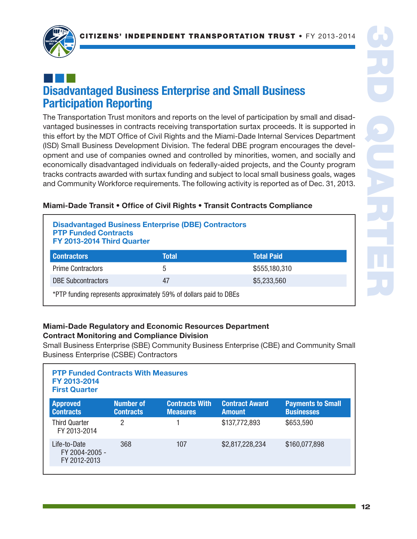

# ¢¢¢ Disadvantaged Business Enterprise and Small Business Participation Reporting

The Transportation Trust monitors and reports on the level of participation by small and disadvantaged businesses in contracts receiving transportation surtax proceeds. It is supported in this effort by the MDT Office of Civil Rights and the Miami-Dade Internal Services Department (ISD) Small Business Development Division. The federal DBE program encourages the development and use of companies owned and controlled by minorities, women, and socially and economically disadvantaged individuals on federally-aided projects, and the County program tracks contracts awarded with surtax funding and subject to local small business goals, wages and Community Workforce requirements. The following activity is reported as of Dec. 31, 2013.

## Miami-Dade Transit • Office of Civil Rights • Transit Contracts Compliance

#### Disadvantaged Business Enterprise (DBE) Contractors PTP Funded Contracts FY 2013-2014 Third Quarter

| <b>Prime Contractors</b><br>5   | \$555,180,310 |
|---------------------------------|---------------|
| <b>DBE Subcontractors</b><br>47 | \$5,233,560   |

\*PTP funding represents approximately 59% of dollars paid to DBEs

## Miami-Dade Regulatory and Economic Resources Department Contract Monitoring and Compliance Division

Small Business Enterprise (SBE) Community Business Enterprise (CBE) and Community Small Business Enterprise (CSBE) Contractors

| <b>PTP Funded Contracts With Measures</b><br>FY 2013-2014<br><b>First Quarter</b> |                                      |                                          |                                        |                                               |  |  |
|-----------------------------------------------------------------------------------|--------------------------------------|------------------------------------------|----------------------------------------|-----------------------------------------------|--|--|
| <b>Approved</b><br><b>Contracts</b>                                               | <b>Number of</b><br><b>Contracts</b> | <b>Contracts With</b><br><b>Measures</b> | <b>Contract Award</b><br><b>Amount</b> | <b>Payments to Small</b><br><b>Businesses</b> |  |  |
| <b>Third Quarter</b><br>FY 2013-2014                                              | 2                                    |                                          | \$137,772,893                          | \$653,590                                     |  |  |
| Life-to-Date<br>FY 2004-2005 -<br>FY 2012-2013                                    | 368                                  | 107                                      | \$2,817,228,234                        | \$160,077,898                                 |  |  |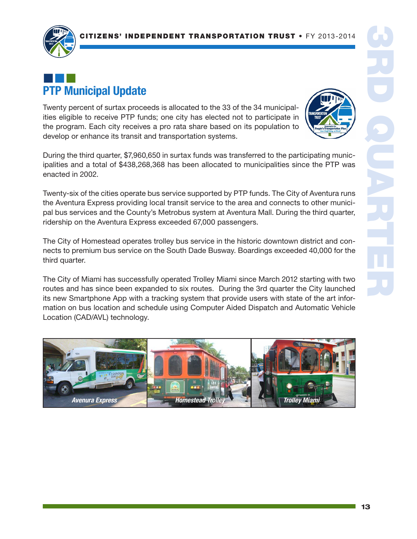

# ¢¢¢ PTP Municipal Update

Twenty percent of surtax proceeds is allocated to the 33 of the 34 municipalities eligible to receive PTP funds; one city has elected not to participate in the program. Each city receives a pro rata share based on its population to develop or enhance its transit and transportation systems.



During the third quarter, \$7,960,650 in surtax funds was transferred to the participating municipalities and a total of \$438,268,368 has been allocated to municipalities since the PTP was enacted in 2002.

Twenty-six of the cities operate bus service supported by PTP funds. The City of Aventura runs the Aventura Express providing local transit service to the area and connects to other municipal bus services and the County's Metrobus system at Aventura Mall. During the third quarter, ridership on the Aventura Express exceeded 67,000 passengers.

The City of Homestead operates trolley bus service in the historic downtown district and connects to premium bus service on the South Dade Busway. Boardings exceeded 40,000 for the third quarter.

The City of Miami has successfully operated Trolley Miami since March 2012 starting with two routes and has since been expanded to six routes. During the 3rd quarter the City launched its new Smartphone App with a tracking system that provide users with state of the art information on bus location and schedule using Computer Aided Dispatch and Automatic Vehicle Location (CAD/AVL) technology.

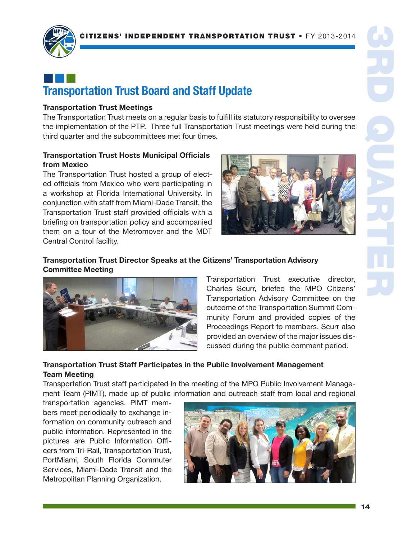

# ¢¢¢ Transportation Trust Board and Staff Update

#### Transportation Trust Meetings

The Transportation Trust meets on a regular basis to fulfill its statutory responsibility to oversee the implementation of the PTP. Three full Transportation Trust meetings were held during the third quarter and the subcommittees met four times.

#### Transportation Trust Hosts Municipal Officials from Mexico

The Transportation Trust hosted a group of elected officials from Mexico who were participating in a workshop at Florida International University. In conjunction with staff from Miami-Dade Transit, the Transportation Trust staff provided officials with a briefing on transportation policy and accompanied them on a tour of the Metromover and the MDT Central Control facility.



### Transportation Trust Director Speaks at the Citizens' Transportation Advisory Committee Meeting



Transportation Trust executive director, Charles Scurr, briefed the MPO Citizens' Transportation Advisory Committee on the outcome of the Transportation Summit Community Forum and provided copies of the Proceedings Report to members. Scurr also provided an overview of the major issues discussed during the public comment period.

## Transportation Trust Staff Participates in the Public Involvement Management Team Meeting

Transportation Trust staff participated in the meeting of the MPO Public Involvement Management Team (PIMT), made up of public information and outreach staff from local and regional

transportation agencies. PIMT members meet periodically to exchange information on community outreach and public information. Represented in the pictures are Public Information Officers from Tri-Rail, Transportation Trust, PortMiami, South Florida Commuter Services, Miami-Dade Transit and the Metropolitan Planning Organization.

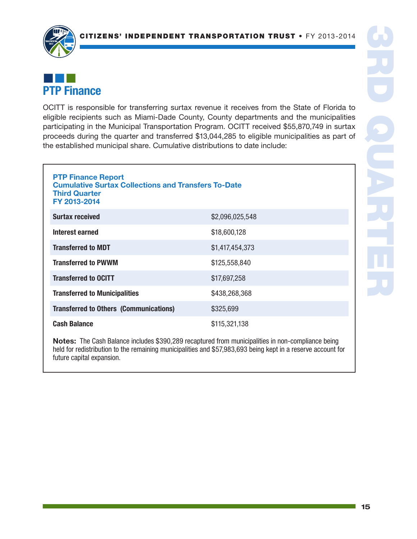

# ¢¢¢ PTP Finance

OCITT is responsible for transferring surtax revenue it receives from the State of Florida to eligible recipients such as Miami-Dade County, County departments and the municipalities participating in the Municipal Transportation Program. OCITT received \$55,870,749 in surtax proceeds during the quarter and transferred \$13,044,285 to eligible municipalities as part of the established municipal share. Cumulative distributions to date include:

| <b>PTP Finance Report</b><br><b>Cumulative Surtax Collections and Transfers To-Date</b><br><b>Third Quarter</b><br>FY 2013-2014 |                 |  |  |  |
|---------------------------------------------------------------------------------------------------------------------------------|-----------------|--|--|--|
| <b>Surtax received</b>                                                                                                          | \$2,096,025,548 |  |  |  |
| Interest earned                                                                                                                 | \$18,600,128    |  |  |  |
| <b>Transferred to MDT</b>                                                                                                       | \$1,417,454,373 |  |  |  |
| <b>Transferred to PWWM</b>                                                                                                      | \$125,558,840   |  |  |  |
| <b>Transferred to OCITT</b>                                                                                                     | \$17,697,258    |  |  |  |
| <b>Transferred to Municipalities</b>                                                                                            | \$438,268,368   |  |  |  |
| <b>Transferred to Others (Communications)</b>                                                                                   | \$325,699       |  |  |  |
| Cash Balance                                                                                                                    | \$115,321,138   |  |  |  |

Notes: The Cash Balance includes \$390,289 recaptured from municipalities in non-compliance being held for redistribution to the remaining municipalities and \$57,983,693 being kept in a reserve account for future capital expansion.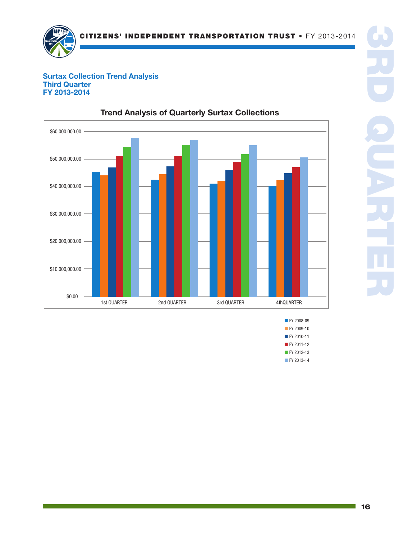

#### Surtax Collection Trend Analysis Surtax Collection Third Quarter FY 2013-2014 FY



## Trend Analysis of Quarterly Surtax Collections

- 3RD QUARTER
- **FY 2008-09 FY 2009-10** ■ FY 2010-11 ■ FY 2011-12 ■ FY 2012-13 ■ FY 2013-14